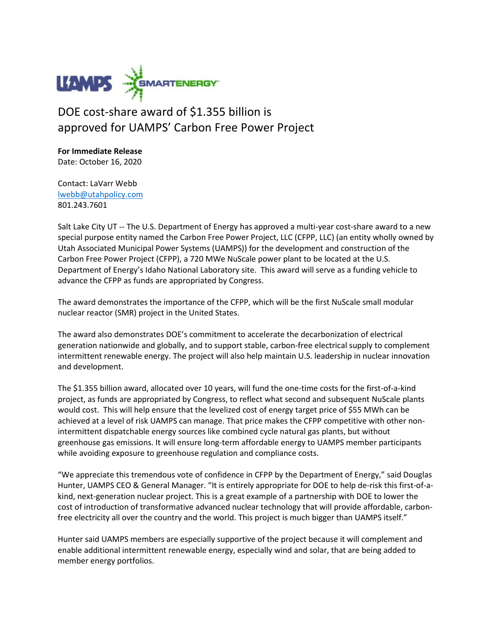

## DOE cost-share award of \$1.355 billion is approved for UAMPS' Carbon Free Power Project

**For Immediate Release** Date: October 16, 2020

Contact: LaVarr Webb [lwebb@utahpolicy.com](mailto:lwebb@utahpolicy.com) 801.243.7601

Salt Lake City UT -- The U.S. Department of Energy has approved a multi-year cost-share award to a new special purpose entity named the Carbon Free Power Project, LLC (CFPP, LLC) (an entity wholly owned by Utah Associated Municipal Power Systems (UAMPS)) for the development and construction of the Carbon Free Power Project (CFPP), a 720 MWe NuScale power plant to be located at the U.S. Department of Energy's Idaho National Laboratory site. This award will serve as a funding vehicle to advance the CFPP as funds are appropriated by Congress.

The award demonstrates the importance of the CFPP, which will be the first NuScale small modular nuclear reactor (SMR) project in the United States.

The award also demonstrates DOE's commitment to accelerate the decarbonization of electrical generation nationwide and globally, and to support stable, carbon-free electrical supply to complement intermittent renewable energy. The project will also help maintain U.S. leadership in nuclear innovation and development.

The \$1.355 billion award, allocated over 10 years, will fund the one-time costs for the first-of-a-kind project, as funds are appropriated by Congress, to reflect what second and subsequent NuScale plants would cost. This will help ensure that the levelized cost of energy target price of \$55 MWh can be achieved at a level of risk UAMPS can manage. That price makes the CFPP competitive with other nonintermittent dispatchable energy sources like combined cycle natural gas plants, but without greenhouse gas emissions. It will ensure long-term affordable energy to UAMPS member participants while avoiding exposure to greenhouse regulation and compliance costs.

"We appreciate this tremendous vote of confidence in CFPP by the Department of Energy," said Douglas Hunter, UAMPS CEO & General Manager. "It is entirely appropriate for DOE to help de-risk this first-of-akind, next-generation nuclear project. This is a great example of a partnership with DOE to lower the cost of introduction of transformative advanced nuclear technology that will provide affordable, carbonfree electricity all over the country and the world. This project is much bigger than UAMPS itself."

Hunter said UAMPS members are especially supportive of the project because it will complement and enable additional intermittent renewable energy, especially wind and solar, that are being added to member energy portfolios.